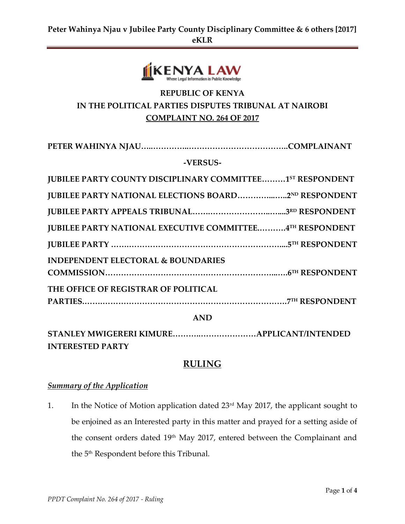

# **REPUBLIC OF KENYA IN THE POLITICAL PARTIES DISPUTES TRIBUNAL AT NAIROBI COMPLAINT NO. 264 OF 2017**

| -VERSUS-                                                        |  |  |  |
|-----------------------------------------------------------------|--|--|--|
| JUBILEE PARTY COUNTY DISCIPLINARY COMMITTEE1ST RESPONDENT       |  |  |  |
| <b>JUBILEE PARTY NATIONAL ELECTIONS BOARD2ND RESPONDENT</b>     |  |  |  |
|                                                                 |  |  |  |
| <b>JUBILEE PARTY NATIONAL EXECUTIVE COMMITTEE4TH RESPONDENT</b> |  |  |  |
|                                                                 |  |  |  |
| <b>INDEPENDENT ELECTORAL &amp; BOUNDARIES</b>                   |  |  |  |
|                                                                 |  |  |  |
| THE OFFICE OF REGISTRAR OF POLITICAL                            |  |  |  |
|                                                                 |  |  |  |
| <b>AND</b>                                                      |  |  |  |

**STANLEY MWIGERERI KIMURE………..…………………APPLICANT/INTENDED INTERESTED PARTY**

# **RULING**

## *Summary of the Application*

1. In the Notice of Motion application dated 23rd May 2017, the applicant sought to be enjoined as an Interested party in this matter and prayed for a setting aside of the consent orders dated 19<sup>th</sup> May 2017, entered between the Complainant and the 5 th Respondent before this Tribunal.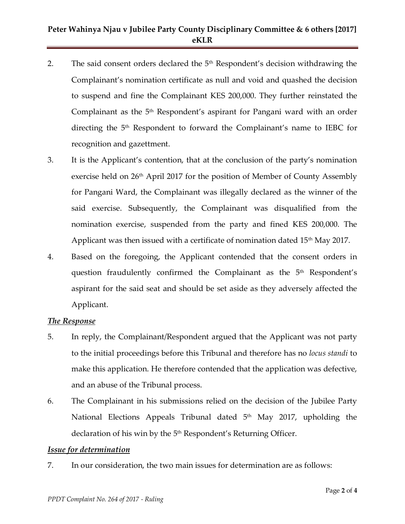# **Peter Wahinya Njau v Jubilee Party County Disciplinary Committee & 6 others [2017] eKLR**

- 2. The said consent orders declared the  $5<sup>th</sup>$  Respondent's decision withdrawing the Complainant's nomination certificate as null and void and quashed the decision to suspend and fine the Complainant KES 200,000. They further reinstated the Complainant as the  $5<sup>th</sup>$  Respondent's aspirant for Pangani ward with an order directing the 5th Respondent to forward the Complainant's name to IEBC for recognition and gazettment.
- 3. It is the Applicant's contention, that at the conclusion of the party's nomination exercise held on  $26<sup>th</sup>$  April 2017 for the position of Member of County Assembly for Pangani Ward, the Complainant was illegally declared as the winner of the said exercise. Subsequently, the Complainant was disqualified from the nomination exercise, suspended from the party and fined KES 200,000. The Applicant was then issued with a certificate of nomination dated  $15<sup>th</sup>$  May 2017.
- 4. Based on the foregoing, the Applicant contended that the consent orders in question fraudulently confirmed the Complainant as the 5<sup>th</sup> Respondent's aspirant for the said seat and should be set aside as they adversely affected the Applicant.

### *The Response*

- 5. In reply, the Complainant/Respondent argued that the Applicant was not party to the initial proceedings before this Tribunal and therefore has no *locus standi* to make this application. He therefore contended that the application was defective, and an abuse of the Tribunal process.
- 6. The Complainant in his submissions relied on the decision of the Jubilee Party National Elections Appeals Tribunal dated 5<sup>th</sup> May 2017, upholding the declaration of his win by the 5<sup>th</sup> Respondent's Returning Officer.

#### *Issue for determination*

7. In our consideration, the two main issues for determination are as follows: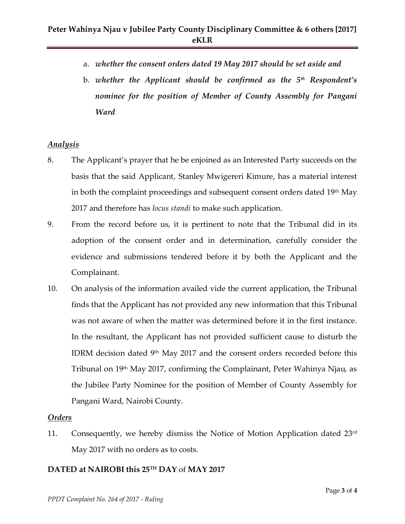- a. *whether the consent orders dated 19 May 2017 should be set aside and*
- b. *whether the Applicant should be confirmed as the 5th Respondent's nominee for the position of Member of County Assembly for Pangani Ward*

### *Analysis*

- 8. The Applicant's prayer that he be enjoined as an Interested Party succeeds on the basis that the said Applicant, Stanley Mwigereri Kimure, has a material interest in both the complaint proceedings and subsequent consent orders dated 19<sup>th</sup> May 2017 and therefore has *locus standi* to make such application.
- 9. From the record before us, it is pertinent to note that the Tribunal did in its adoption of the consent order and in determination, carefully consider the evidence and submissions tendered before it by both the Applicant and the Complainant.
- 10. On analysis of the information availed vide the current application, the Tribunal finds that the Applicant has not provided any new information that this Tribunal was not aware of when the matter was determined before it in the first instance. In the resultant, the Applicant has not provided sufficient cause to disturb the IDRM decision dated 9th May 2017 and the consent orders recorded before this Tribunal on 19th May 2017, confirming the Complainant, Peter Wahinya Njau, as the Jubilee Party Nominee for the position of Member of County Assembly for Pangani Ward, Nairobi County.

### *Orders*

11. Consequently, we hereby dismiss the Notice of Motion Application dated 23rd May 2017 with no orders as to costs.

## **DATED at NAIROBI this 25TH DAY** of **MAY 2017**